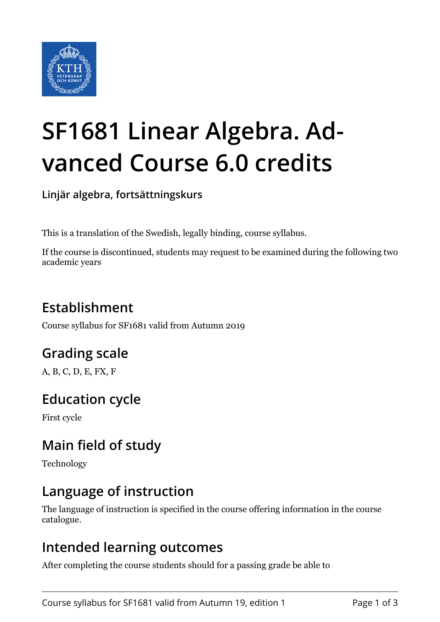

# **SF1681 Linear Algebra. Advanced Course 6.0 credits**

**Linjär algebra, fortsättningskurs**

This is a translation of the Swedish, legally binding, course syllabus.

If the course is discontinued, students may request to be examined during the following two academic years

# **Establishment**

Course syllabus for SF1681 valid from Autumn 2019

## **Grading scale**

A, B, C, D, E, FX, F

## **Education cycle**

First cycle

## **Main field of study**

Technology

## **Language of instruction**

The language of instruction is specified in the course offering information in the course catalogue.

#### **Intended learning outcomes**

After completing the course students should for a passing grade be able to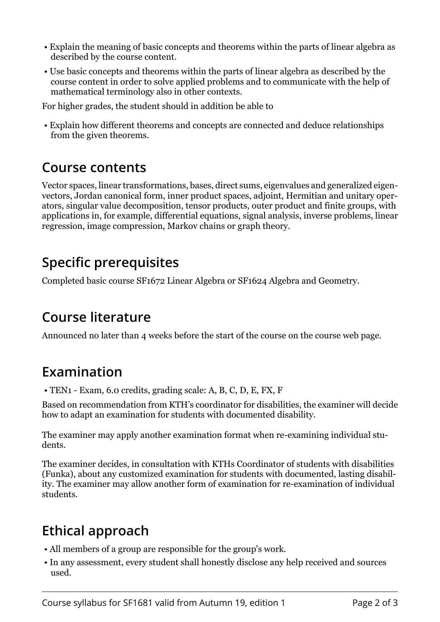- Explain the meaning of basic concepts and theorems within the parts of linear algebra as described by the course content.
- Use basic concepts and theorems within the parts of linear algebra as described by the course content in order to solve applied problems and to communicate with the help of mathematical terminology also in other contexts.

For higher grades, the student should in addition be able to

 • Explain how different theorems and concepts are connected and deduce relationships from the given theorems.

#### **Course contents**

Vector spaces, linear transformations, bases, direct sums, eigenvalues and generalized eigenvectors, Jordan canonical form, inner product spaces, adjoint, Hermitian and unitary operators, singular value decomposition, tensor products, outer product and finite groups, with applications in, for example, differential equations, signal analysis, inverse problems, linear regression, image compression, Markov chains or graph theory.

## **Specific prerequisites**

Completed basic course SF1672 Linear Algebra or SF1624 Algebra and Geometry.

## **Course literature**

Announced no later than 4 weeks before the start of the course on the course web page.

## **Examination**

• TEN1 - Exam, 6.0 credits, grading scale: A, B, C, D, E, FX, F

Based on recommendation from KTH's coordinator for disabilities, the examiner will decide how to adapt an examination for students with documented disability.

The examiner may apply another examination format when re-examining individual students.

The examiner decides, in consultation with KTHs Coordinator of students with disabilities (Funka), about any customized examination for students with documented, lasting disability. The examiner may allow another form of examination for re-examination of individual students.

# **Ethical approach**

- All members of a group are responsible for the group's work.
- In any assessment, every student shall honestly disclose any help received and sources used.